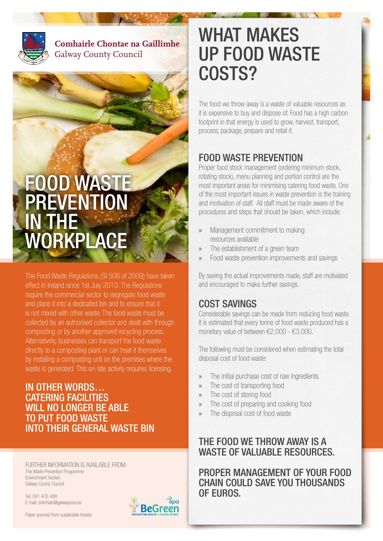

**Comhairle Chontae na Gaillimhe** Galway County Council

# FOOD WASTE PREVENTION IN THE **WORKPLACE**

The Food Waste Regulations (SI 508 of 2009) have taken effect in Ireland since 1st July 2010. The Regulations require the commercial sector to segregate food waste and place it into a dedicated bin and to ensure that it is not mixed with other waste. The food waste must be collected by an authorised collector and dealt with through composting or by another approved recycling process. Alternatively, businesses can transport the food waste directly to a composting plant or can treat it themselves by installing a composting unit on the premises where the waste is generated. This on-site activity requires licensing.

#### IN OTHER WORDS… CATERING FACILITIES WILL NO LONGER BE ABLE TO PUT FOOD WASTE INTO THEIR GENERAL WASTE BIN

FURTHER INFORMATION IS AVAILABLE FROM: The Waste Prevention Programme Environment Section Galway County Council

Tel: 091 476 488 E-mail: snimhain@galwaycoco.ie

Paper sourced from sustainable forests



## WHAT MAKES UP FOOD WASTE COSTS?

The food we throw away is a waste of valuable resources as it is expensive to buy and dispose of. Food has a high carbon footprint in that energy is used to grow, harvest, transport, process, package, prepare and retail it.

## FOOD WASTE PREVENTION

Proper food stock management (ordering minimum stock, rotating stock), menu planning and portion control are the most important areas for minimising catering food waste. One of the most important issues in waste prevention is the training and motivation of staff. All staff must be made aware of the procedures and steps that should be taken, which include:

- » Management commitment to making resources available
- » The establishment of a green team
- » Food waste prevention improvements and savings

By seeing the actual improvements made, staff are motivated and encouraged to make further savings.

### COST SAVINGS

Considerable savings can be made from reducing food waste. It is estimated that every tonne of food waste produced has a monetary value of between €2,000 - €3,000.

The following must be considered when estimating the total disposal cost of food waste:

- » The initial purchase cost of raw ingredients
- » The cost of transporting food
- » The cost of storing food
- » The cost of preparing and cooking food
- » The disposal cost of food waste

### THE FOOD WE THROW AWAY IS A WASTE OF VALUABLE RESOURCES.

PROPER MANAGEMENT OF YOUR FOOD CHAIN COULD SAVE YOU THOUSANDS OF EUROS.